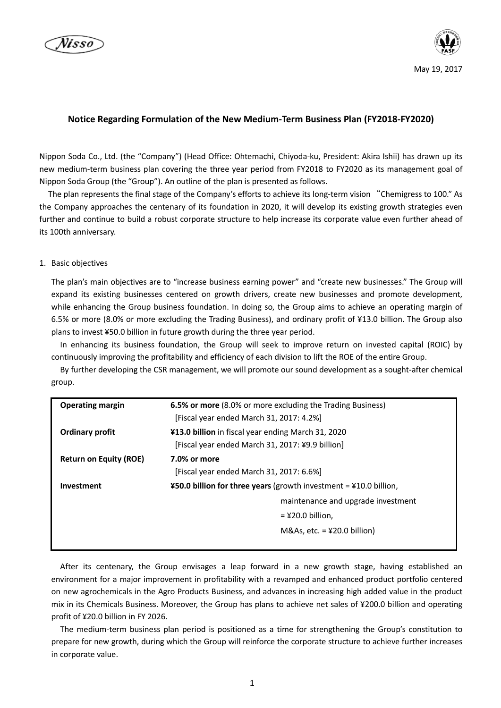



# **Notice Regarding Formulation of the New Medium-Term Business Plan (FY2018-FY2020)**

Nippon Soda Co., Ltd. (the "Company") (Head Office: Ohtemachi, Chiyoda-ku, President: Akira Ishii) has drawn up its new medium-term business plan covering the three year period from FY2018 to FY2020 as its management goal of Nippon Soda Group (the "Group"). An outline of the plan is presented as follows.

The plan represents the final stage of the Company's efforts to achieve its long-term vision "Chemigress to 100." As the Company approaches the centenary of its foundation in 2020, it will develop its existing growth strategies even further and continue to build a robust corporate structure to help increase its corporate value even further ahead of its 100th anniversary.

#### 1. Basic objectives

The plan's main objectives are to "increase business earning power" and "create new businesses." The Group will expand its existing businesses centered on growth drivers, create new businesses and promote development, while enhancing the Group business foundation. In doing so, the Group aims to achieve an operating margin of 6.5% or more (8.0% or more excluding the Trading Business), and ordinary profit of ¥13.0 billion. The Group also plans to invest ¥50.0 billion in future growth during the three year period.

In enhancing its business foundation, the Group will seek to improve return on invested capital (ROIC) by continuously improving the profitability and efficiency of each division to lift the ROE of the entire Group.

By further developing the CSR management, we will promote our sound development as a sought-after chemical group.

| <b>Operating margin</b>       | <b>6.5% or more</b> (8.0% or more excluding the Trading Business)<br>[Fiscal year ended March 31, 2017: 4.2%] |
|-------------------------------|---------------------------------------------------------------------------------------------------------------|
|                               |                                                                                                               |
| <b>Ordinary profit</b>        | ¥13.0 billion in fiscal year ending March 31, 2020                                                            |
|                               | [Fiscal year ended March 31, 2017: ¥9.9 billion]                                                              |
| <b>Return on Equity (ROE)</b> | 7.0% or more                                                                                                  |
|                               | [Fiscal year ended March 31, 2017: 6.6%]                                                                      |
| Investment                    | <b>¥50.0 billion for three years</b> (growth investment = $410.0$ billion,                                    |
|                               | maintenance and upgrade investment                                                                            |
|                               | $=$ ¥20.0 billion,                                                                                            |
|                               | M&As, etc. $=$ ¥20.0 billion)                                                                                 |
|                               |                                                                                                               |

After its centenary, the Group envisages a leap forward in a new growth stage, having established an environment for a major improvement in profitability with a revamped and enhanced product portfolio centered on new agrochemicals in the Agro Products Business, and advances in increasing high added value in the product mix in its Chemicals Business. Moreover, the Group has plans to achieve net sales of ¥200.0 billion and operating profit of ¥20.0 billion in FY 2026.

The medium-term business plan period is positioned as a time for strengthening the Group's constitution to prepare for new growth, during which the Group will reinforce the corporate structure to achieve further increases in corporate value.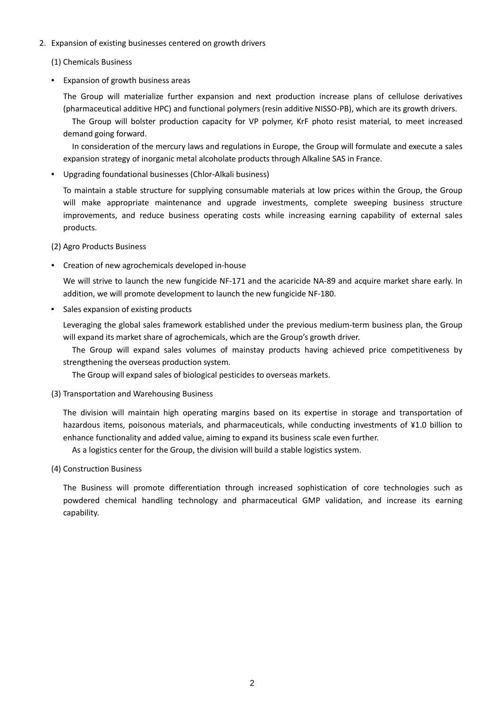# 2. Expansion of existing businesses centered on growth drivers

# (1) Chemicals Business

• Expansion of growth business areas

The Group will materialize further expansion and next production increase plans of cellulose derivatives (pharmaceutical additive HPC) and functional polymers (resin additive NISSO-PB), which are its growth drivers.

The Group will bolster production capacity for VP polymer, KrF photo resist material, to meet increased demand going forward.

In consideration of the mercury laws and regulations in Europe, the Group will formulate and execute a sales expansion strategy of inorganic metal alcoholate products through Alkaline SAS in France.

• Upgrading foundational businesses (Chlor-Alkali business)

To maintain a stable structure for supplying consumable materials at low prices within the Group, the Group will make appropriate maintenance and upgrade investments, complete sweeping business structure improvements, and reduce business operating costs while increasing earning capability of external sales products.

(2) Agro Products Business

• Creation of new agrochemicals developed in-house

We will strive to launch the new fungicide NF-171 and the acaricide NA-89 and acquire market share early. In addition, we will promote development to launch the new fungicide NF-180.

• Sales expansion of existing products

Leveraging the global sales framework established under the previous medium-term business plan, the Group will expand its market share of agrochemicals, which are the Group's growth driver.

The Group will expand sales volumes of mainstay products having achieved price competitiveness by strengthening the overseas production system.

The Group will expand sales of biological pesticides to overseas markets.

(3) Transportation and Warehousing Business

The division will maintain high operating margins based on its expertise in storage and transportation of hazardous items, poisonous materials, and pharmaceuticals, while conducting investments of ¥1.0 billion to enhance functionality and added value, aiming to expand its business scale even further.

As a logistics center for the Group, the division will build a stable logistics system.

(4) Construction Business

The Business will promote differentiation through increased sophistication of core technologies such as powdered chemical handling technology and pharmaceutical GMP validation, and increase its earning capability.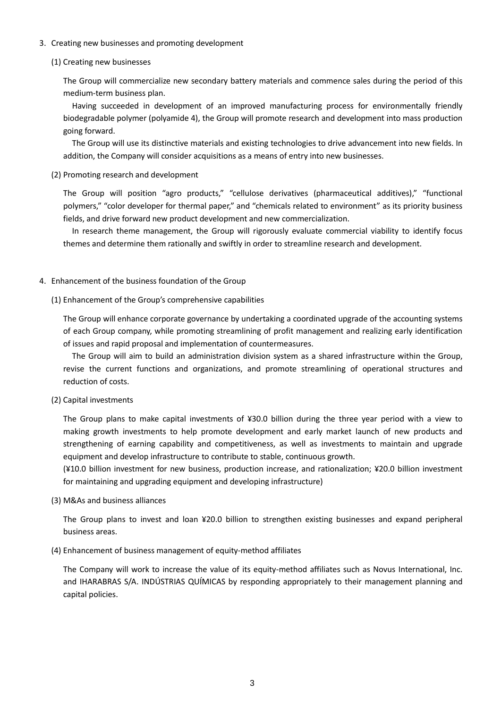### 3. Creating new businesses and promoting development

# (1) Creating new businesses

The Group will commercialize new secondary battery materials and commence sales during the period of this medium-term business plan.

Having succeeded in development of an improved manufacturing process for environmentally friendly biodegradable polymer (polyamide 4), the Group will promote research and development into mass production going forward.

The Group will use its distinctive materials and existing technologies to drive advancement into new fields. In addition, the Company will consider acquisitions as a means of entry into new businesses.

(2) Promoting research and development

The Group will position "agro products," "cellulose derivatives (pharmaceutical additives)," "functional polymers," "color developer for thermal paper," and "chemicals related to environment" as its priority business fields, and drive forward new product development and new commercialization.

In research theme management, the Group will rigorously evaluate commercial viability to identify focus themes and determine them rationally and swiftly in order to streamline research and development.

# 4. Enhancement of the business foundation of the Group

# (1) Enhancement of the Group's comprehensive capabilities

The Group will enhance corporate governance by undertaking a coordinated upgrade of the accounting systems of each Group company, while promoting streamlining of profit management and realizing early identification of issues and rapid proposal and implementation of countermeasures.

The Group will aim to build an administration division system as a shared infrastructure within the Group, revise the current functions and organizations, and promote streamlining of operational structures and reduction of costs.

(2) Capital investments

The Group plans to make capital investments of ¥30.0 billion during the three year period with a view to making growth investments to help promote development and early market launch of new products and strengthening of earning capability and competitiveness, as well as investments to maintain and upgrade equipment and develop infrastructure to contribute to stable, continuous growth.

(¥10.0 billion investment for new business, production increase, and rationalization; ¥20.0 billion investment for maintaining and upgrading equipment and developing infrastructure)

(3) M&As and business alliances

The Group plans to invest and loan ¥20.0 billion to strengthen existing businesses and expand peripheral business areas.

(4) Enhancement of business management of equity-method affiliates

The Company will work to increase the value of its equity-method affiliates such as Novus International, Inc. and IHARABRAS S/A. INDÚSTRIAS QUÍMICAS by responding appropriately to their management planning and capital policies.